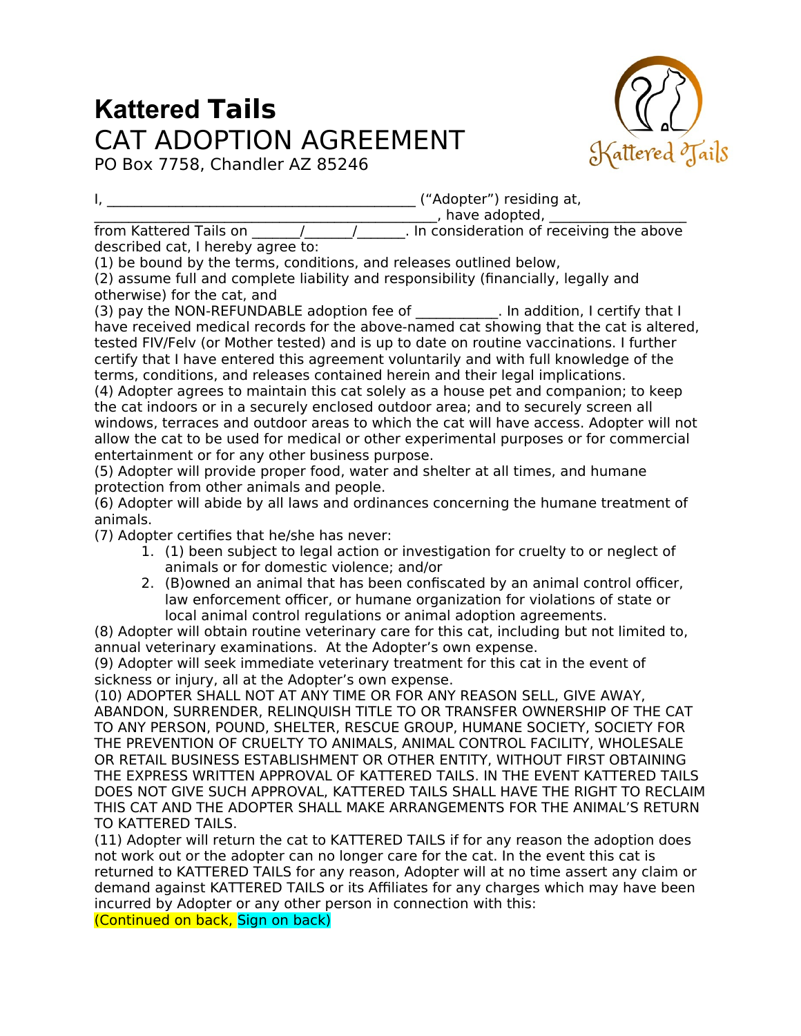## **Kattered Tails** CAT ADOPTION AGREEMENT



PO Box 7758, Chandler AZ 85246

I, \_\_\_\_\_\_\_\_\_\_\_\_\_\_\_\_\_\_\_\_\_\_\_\_\_\_\_\_\_\_\_\_\_\_\_\_\_\_\_\_\_\_\_\_\_ ("Adopter") residing at,

 $\Box$ , have adopted,  $\Box$ 

 $f$ rom Kattered Tails on  $\frac{1}{\sqrt{1-\frac{1}{\sqrt{1-\frac{1}{\sqrt{1-\frac{1}{\sqrt{1-\frac{1}{\sqrt{1-\frac{1}{\sqrt{1-\frac{1}{\sqrt{1-\frac{1}{\sqrt{1-\frac{1}{\sqrt{1-\frac{1}{\sqrt{1-\frac{1}{\sqrt{1-\frac{1}{\sqrt{1-\frac{1}{\sqrt{1-\frac{1}{\sqrt{1-\frac{1}{\sqrt{1-\frac{1}{\sqrt{1-\frac{1}{\sqrt{1-\frac{1}{\sqrt{1-\frac{1}{\sqrt{1-\frac{1}{\sqrt{1-\frac{1}{\sqrt{1-\frac{1}{\$ 

described cat, I hereby agree to:

(1) be bound by the terms, conditions, and releases outlined below,

(2) assume full and complete liability and responsibility (financially, legally and otherwise) for the cat, and

(3) pay the NON-REFUNDABLE adoption fee of  $\qquad \qquad$  . In addition, I certify that I have received medical records for the above-named cat showing that the cat is altered, tested FIV/Felv (or Mother tested) and is up to date on routine vaccinations. I further certify that I have entered this agreement voluntarily and with full knowledge of the terms, conditions, and releases contained herein and their legal implications.

(4) Adopter agrees to maintain this cat solely as a house pet and companion; to keep the cat indoors or in a securely enclosed outdoor area; and to securely screen all windows, terraces and outdoor areas to which the cat will have access. Adopter will not allow the cat to be used for medical or other experimental purposes or for commercial entertainment or for any other business purpose.

(5) Adopter will provide proper food, water and shelter at all times, and humane protection from other animals and people.

(6) Adopter will abide by all laws and ordinances concerning the humane treatment of animals.

(7) Adopter certifies that he/she has never:

- 1. (1) been subject to legal action or investigation for cruelty to or neglect of animals or for domestic violence; and/or
- 2. (B)owned an animal that has been confiscated by an animal control officer, law enforcement officer, or humane organization for violations of state or local animal control regulations or animal adoption agreements.

(8) Adopter will obtain routine veterinary care for this cat, including but not limited to, annual veterinary examinations. At the Adopter's own expense.

(9) Adopter will seek immediate veterinary treatment for this cat in the event of sickness or injury, all at the Adopter's own expense.

(10) ADOPTER SHALL NOT AT ANY TIME OR FOR ANY REASON SELL, GIVE AWAY, ABANDON, SURRENDER, RELINQUISH TITLE TO OR TRANSFER OWNERSHIP OF THE CAT TO ANY PERSON, POUND, SHELTER, RESCUE GROUP, HUMANE SOCIETY, SOCIETY FOR THE PREVENTION OF CRUELTY TO ANIMALS, ANIMAL CONTROL FACILITY, WHOLESALE OR RETAIL BUSINESS ESTABLISHMENT OR OTHER ENTITY, WITHOUT FIRST OBTAINING THE EXPRESS WRITTEN APPROVAL OF KATTERED TAILS. IN THE EVENT KATTERED TAILS DOES NOT GIVE SUCH APPROVAL, KATTERED TAILS SHALL HAVE THE RIGHT TO RECLAIM THIS CAT AND THE ADOPTER SHALL MAKE ARRANGEMENTS FOR THE ANIMAL'S RETURN TO KATTERED TAILS.

(11) Adopter will return the cat to KATTERED TAILS if for any reason the adoption does not work out or the adopter can no longer care for the cat. In the event this cat is returned to KATTERED TAILS for any reason, Adopter will at no time assert any claim or demand against KATTERED TAILS or its Affiliates for any charges which may have been incurred by Adopter or any other person in connection with this: (Continued on back, Sign on back)